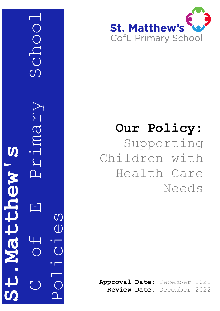

Schoo



# **Our Policy:** Supporting Children with Health Care

Needs

**Approval Date:** December 202 1 **Review Date:** December 202 2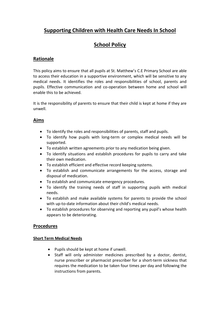# **Supporting Children with Health Care Needs In School**

# **School Policy**

# **Rationale**

This policy aims to ensure that all pupils at St. Matthew's C.E Primary School are able to access their education in a supportive environment, which will be sensitive to any medical needs. It identifies the roles and responsibilities of school, parents and pupils. Effective communication and co-operation between home and school will enable this to be achieved.

It is the responsibility of parents to ensure that their child is kept at home if they are unwell.

# **Aims**

- To identify the roles and responsibilities of parents, staff and pupils.
- To identify how pupils with long-term or complex medical needs will be supported.
- To establish written agreements prior to any medication being given.
- To identify situations and establish procedures for pupils to carry and take their own medication.
- To establish efficient and effective record keeping systems.
- To establish and communicate arrangements for the access, storage and disposal of medication.
- To establish and communicate emergency procedures.
- To identify the training needs of staff in supporting pupils with medical needs.
- To establish and make available systems for parents to provide the school with up-to-date information about their child's medical needs.
- To establish procedures for observing and reporting any pupil's whose health appears to be deteriorating.

## **Procedures**

#### **Short Term Medical Needs**

- Pupils should be kept at home if unwell.
- Staff will only administer medicines prescribed by a doctor, dentist, nurse prescriber or pharmacist prescriber for a short-term sickness that requires the medication to be taken four times per day and following the instructions from parents.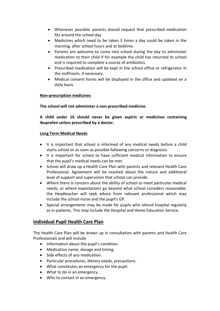- Whenever possible, parents should request that prescribed medication fits around the school day
- Medicines which need to be taken 3 times a day could be taken in the morning, after school hours and at bedtime.
- Parents are welcome to come into school during the day to administer medication to their child if for example the child has returned to school and is required to complete a course of antibiotics.
- Prescribed medication will be kept in the school office or refrigerator in the staffroom, if necessary.
- Medical consent forms will be displayed in the office and updated on a daily basis.

#### **Non-prescription medicines**

**The school will not administer a non-prescribed medicine.**

**A child under 16 should never be given aspirin or medicines containing ibuprofen unless prescribed by a doctor.**

#### **Long Term Medical Needs**

- It is important that school is informed of any medical needs before a child starts school or as soon as possible following concerns or diagnosis.
- It is important for school to have sufficient medical information to ensure that the pupil's medical needs can be met.
- School will draw up a Health Care Plan with parents and relevant Health Care Professional. Agreement will be reached about the nature and additional level of support and supervision that school can provide.
- Where there is concern about the ability of school to meet particular medical needs, or where expectations go beyond what school considers reasonable, the Headteacher will seek advice from relevant professional which may include the school nurse and the pupil's GP.
- Special arrangements may be made for pupils who attend hospital regularly as in-patients. This may include the Hospital and Home Education Service.

## **Individual Pupil Health Care Plan**

The Health Care Plan will be drawn up in consultation with parents and Health Care Professionals and will include

- Information about the pupil's condition.
- Medication name, dosage and timing.
- Side effects of any medication.
- Particular procedures, dietary needs, precautions.
- What constitutes an emergency for the pupil.
- What to do in an emergency.
- Who to contact in an emergency.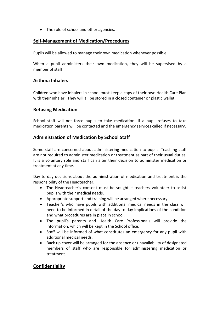• The role of school and other agencies.

## **Self-Management of Medication/Procedures**

Pupils will be allowed to manage their own medication whenever possible.

When a pupil administers their own medication, they will be supervised by a member of staff.

## **Asthma Inhalers**

Children who have inhalers in school must keep a copy of their own Health Care Plan with their inhaler. They will all be stored in a closed container or plastic wallet.

#### **Refusing Medication**

School staff will not force pupils to take medication. If a pupil refuses to take medication parents will be contacted and the emergency services called if necessary.

# **Administration of Medication by School Staff**

Some staff are concerned about administering medication to pupils. Teaching staff are not required to administer medication or treatment as part of their usual duties. It is a voluntary role and staff can alter their decision to administer medication or treatment at any time.

Day to day decisions about the administration of medication and treatment is the responsibility of the Headteacher.

- The Headteacher's consent must be sought if teachers volunteer to assist pupils with their medical needs.
- Appropriate support and training will be arranged where necessary.
- Teacher's who have pupils with additional medical needs in the class will need to be informed in detail of the day to day implications of the condition and what procedures are in place in school.
- The pupil's parents and Health Care Professionals will provide the information, which will be kept in the School office.
- Staff will be informed of what constitutes an emergency for any pupil with additional medical needs.
- Back up cover will be arranged for the absence or unavailability of designated members of staff who are responsible for administering medication or treatment.

## **Confidentiality**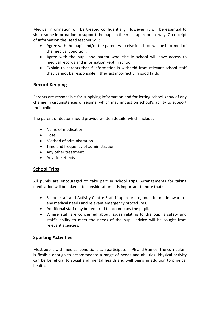Medical information will be treated confidentially. However, it will be essential to share some information to support the pupil in the most appropriate way. On receipt of information the Head teacher will:

- Agree with the pupil and/or the parent who else in school will be informed of the medical condition.
- Agree with the pupil and parent who else in school will have access to medical records and information kept in school.
- Explain to parents that if information is withheld from relevant school staff they cannot be responsible if they act incorrectly in good faith.

# **Record Keeping**

Parents are responsible for supplying information and for letting school know of any change in circumstances of regime, which may impact on school's ability to support their child.

The parent or doctor should provide written details, which include:

- Name of medication
- Dose
- Method of administration
- Time and frequency of administration
- Any other treatment
- Any side effects

## **School Trips**

All pupils are encouraged to take part in school trips. Arrangements for taking medication will be taken into consideration. It is important to note that:

- School staff and Activity Centre Staff if appropriate, must be made aware of any medical needs and relevant emergency procedures.
- Additional staff may be required to accompany the pupil.
- Where staff are concerned about issues relating to the pupil's safety and staff's ability to meet the needs of the pupil, advice will be sought from relevant agencies.

## **Sporting Activities**

Most pupils with medical conditions can participate in PE and Games. The curriculum is flexible enough to accommodate a range of needs and abilities. Physical activity can be beneficial to social and mental health and well being in addition to physical health.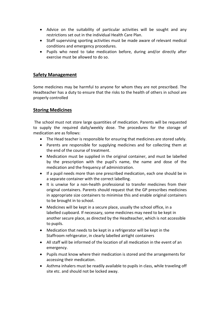- Advice on the suitability of particular activities will be sought and any restrictions set out in the individual Health Care Plan.
- Staff supervising sporting activities must be made aware of relevant medical conditions and emergency procedures.
- Pupils who need to take medication before, during and/or directly after exercise must be allowed to do so.

## **Safety Management**

Some medicines may be harmful to anyone for whom they are not prescribed. The Headteacher has a duty to ensure that the risks to the health of others in school are properly controlled

## **Storing Medicines**

The school must not store large quantities of medication. Parents will be requested to supply the required daily/weekly dose. The procedures for the storage of medication are as follows:

- The Head teacher is responsible for ensuring that medicines are stored safely.
- Parents are responsible for supplying medicines and for collecting them at the end of the course of treatment.
- Medication must be supplied in the original container, and must be labelled by the prescription with the pupil's name, the name and dose of the medication and the frequency of administration.
- If a pupil needs more than one prescribed medication, each one should be in a separate container with the correct labelling.
- It is unwise for a non-health professional to transfer medicines from their original containers. Parents should request that the GP prescribes medicines in appropriate size containers to minimise this and enable original containers to be brought in to school.
- Medicines will be kept in a secure place, usually the school office, in a labelled cupboard. If necessary, some medicines may need to be kept in another secure place, as directed by the Headteacher, which is not accessible to pupils.
- Medication that needs to be kept in a refrigerator will be kept in the Staffroom refrigerator, in clearly labelled airtight containers
- All staff will be informed of the location of all medication in the event of an emergency.
- Pupils must know where their medication is stored and the arrangements for accessing their medication.
- Asthma inhalers must be readily available to pupils in class, while traveling off site etc. and should not be locked away.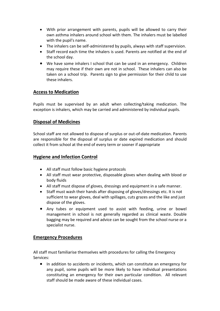- With prior arrangement with parents, pupils will be allowed to carry their own asthma inhalers around school with them. The inhalers must be labelled with the pupil's name.
- The inhalers can be self-administered by pupils, always with staff supervision.
- Staff record each time the inhalers is used. Parents are notified at the end of the school day.
- We have some inhalers I school that can be used in an emergency. Children may require these if their own are not in school. These inhalers can also be taken on a school trip. Parents sign to give permission for their child to use these inhalers.

## **Access to Medication**

Pupils must be supervised by an adult when collecting/taking medication. The exception is inhalers, which may be carried and administered by individual pupils.

#### **Disposal of Medicines**

School staff are not allowed to dispose of surplus or out-of-date medication. Parents are responsible for the disposal of surplus or date expired medication and should collect it from school at the end of every term or sooner if appropriate

#### **Hygiene and Infection Control**

- All staff must follow basic hygiene protocols
- All staff must wear protective, disposable gloves when dealing with blood or body fluids
- All staff must dispose of gloves, dressings and equipment in a safe manner.
- Staff must wash their hands after disposing of gloves/dressings etc. It is not sufficient to wear gloves, deal with spillages, cuts grazes and the like and just dispose of the gloves.
- Any tubes or equipment used to assist with feeding, urine or bowel management in school is not generally regarded as clinical waste. Double bagging may be required and advice can be sought from the school nurse or a specialist nurse.

#### **Emergency Procedures**

All staff must familiarise themselves with procedures for calling the Emergency Services:

 In addition to accidents or incidents, which can constitute an emergency for any pupil, some pupils will be more likely to have individual presentations constituting an emergency for their own particular condition. All relevant staff should be made aware of these individual cases.